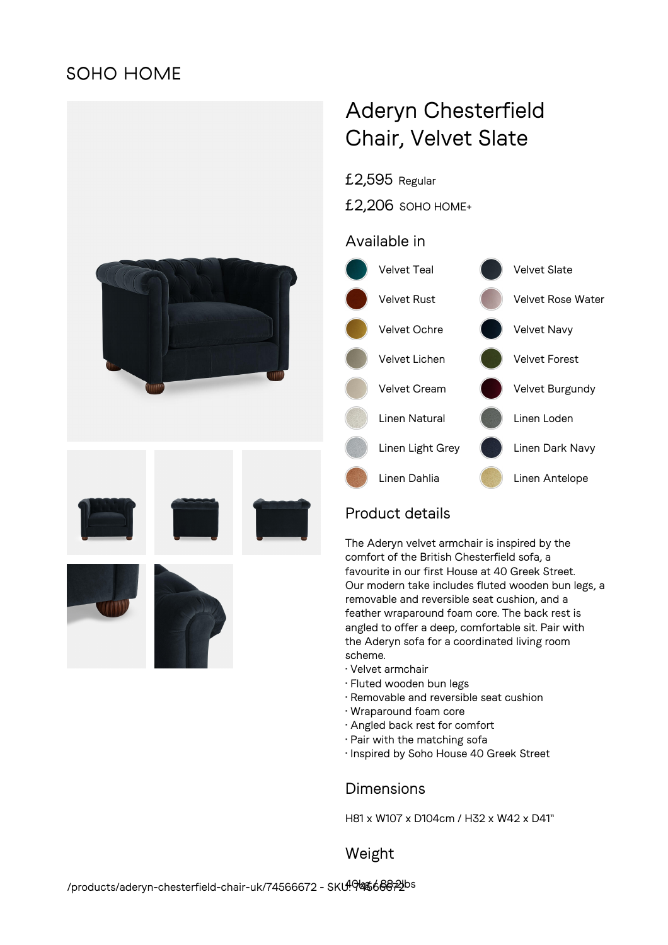## **SOHO HOME**



# Aderyn Chesterfield Chair, Velvet Slate

£2,595 Regular

£2,206 SOHO HOME+

### Available in



## Product details

The Aderyn velvet armchair is inspired by the comfort of the British Chesterfield sofa, a favourite in our first House at 40 Greek Street. Our modern take includes fluted wooden bun legs, a removable and reversible seat cushion, and a feather wraparound foam core. The back rest is angled to offer a deep, comfortable sit. Pair with the Aderyn sofa for a coordinated living room scheme.

- Velvet armchair
- Fluted wooden bun legs
- Removable and reversible seat cushion
- Wraparound foam core
- Angled back rest for comfort
- Pair with the matching sofa
- Inspired by Soho House 40 Greek Street

#### **Dimensions**

H81 x W107 x D104cm / H32 x W42 x D41"

Weight